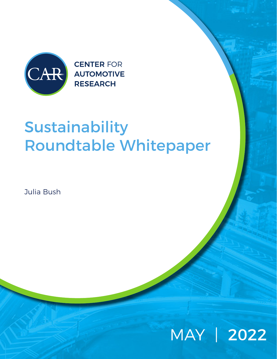

**CENTER FOR AUTOMOTIVE RESEARCH** 

# Sustainability Roundtable Whitepaper

Julia Bush

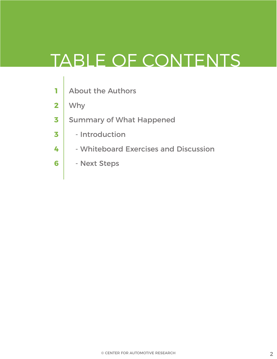# TABLE OF CONTENTS

- About the Authors **1**
- Why **2**
- Summary of What Happened **3**
- Introduction **3**
- Whiteboard Exercises and Discussion **4**
- Next Steps **6**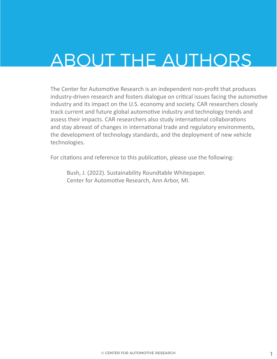# ABOUT THE AUTHORS

The Center for Automotive Research is an independent non-profit that produces industry-driven research and fosters dialogue on critical issues facing the automotive industry and its impact on the U.S. economy and society. CAR researchers closely track current and future global automotive industry and technology trends and assess their impacts. CAR researchers also study international collaborations and stay abreast of changes in international trade and regulatory environments, the development of technology standards, and the deployment of new vehicle technologies.

For citations and reference to this publication, please use the following:

Bush, J. (2022). Sustainability Roundtable Whitepaper. Center for Automotive Research, Ann Arbor, MI.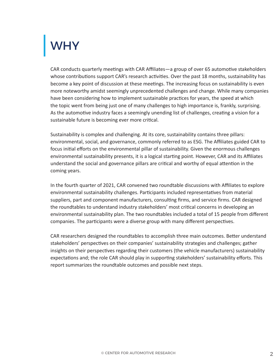## **WHY**

CAR conducts quarterly meetings with CAR Affiliates—a group of over 65 automotive stakeholders whose contributions support CAR's research activities. Over the past 18 months, sustainability has become a key point of discussion at these meetings. The increasing focus on sustainability is even more noteworthy amidst seemingly unprecedented challenges and change. While many companies have been considering how to implement sustainable practices for years, the speed at which the topic went from being just one of many challenges to high importance is, frankly, surprising. As the automotive industry faces a seemingly unending list of challenges, creating a vision for a sustainable future is becoming ever more critical.

Sustainability is complex and challenging. At its core, sustainability contains three pillars: environmental, social, and governance, commonly referred to as ESG. The Affiliates guided CAR to focus initial efforts on the environmental pillar of sustainability. Given the enormous challenges environmental sustainability presents, it is a logical starting point. However, CAR and its Affiliates understand the social and governance pillars are critical and worthy of equal attention in the coming years.

In the fourth quarter of 2021, CAR convened two roundtable discussions with Affiliates to explore environmental sustainability challenges. Participants included representatives from material suppliers, part and component manufacturers, consulting firms, and service firms. CAR designed the roundtables to understand industry stakeholders' most critical concerns in developing an environmental sustainability plan. The two roundtables included a total of 15 people from different companies. The participants were a diverse group with many different perspectives.

CAR researchers designed the roundtables to accomplish three main outcomes. Better understand stakeholders' perspectives on their companies' sustainability strategies and challenges; gather insights on their perspectives regarding their customers (the vehicle manufacturers) sustainability expectations and; the role CAR should play in supporting stakeholders' sustainability efforts. This report summarizes the roundtable outcomes and possible next steps.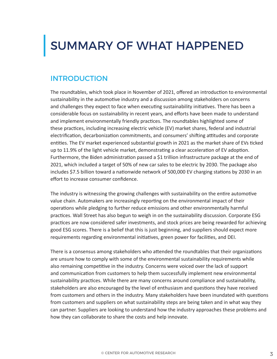### SUMMARY OF WHAT HAPPENED

### **INTRODUCTION**

The roundtables, which took place in November of 2021, offered an introduction to environmental sustainability in the automotive industry and a discussion among stakeholders on concerns and challenges they expect to face when executing sustainability initiatives. There has been a considerable focus on sustainability in recent years, and efforts have been made to understand and implement environmentally friendly practices. The roundtables highlighted some of these practices, including increasing electric vehicle (EV) market shares, federal and industrial electrification, decarbonization commitments, and consumers' shifting attitudes and corporate entities. The EV market experienced substantial growth in 2021 as the market share of EVs ticked up to 11.9% of the light vehicle market, demonstrating a clear acceleration of EV adoption. Furthermore, the Biden administration passed a \$1 trillion infrastructure package at the end of 2021, which included a target of 50% of new car sales to be electric by 2030. The package also includes \$7.5 billion toward a nationwide network of 500,000 EV charging stations by 2030 in an effort to increase consumer confidence.

The industry is witnessing the growing challenges with sustainability on the entire automotive value chain. Automakers are increasingly reporting on the environmental impact of their operations while pledging to further reduce emissions and other environmentally harmful practices. Wall Street has also begun to weigh in on the sustainability discussion. Corporate ESG practices are now considered safer investments, and stock prices are being rewarded for achieving good ESG scores. There is a belief that this is just beginning, and suppliers should expect more requirements regarding environmental initiatives, green power for facilities, and DEI.

There is a consensus among stakeholders who attended the roundtables that their organizations are unsure how to comply with some of the environmental sustainability requirements while also remaining competitive in the industry. Concerns were voiced over the lack of support and communication from customers to help them successfully implement new environmental sustainability practices. While there are many concerns around compliance and sustainability, stakeholders are also encouraged by the level of enthusiasm and questions they have received from customers and others in the industry. Many stakeholders have been inundated with questions from customers and suppliers on what sustainability steps are being taken and in what way they can partner. Suppliers are looking to understand how the industry approaches these problems and how they can collaborate to share the costs and help innovate.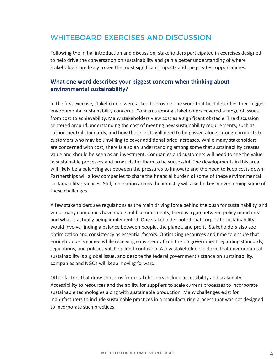### WHITEBOARD EXERCISES AND DISCUSSION

Following the initial introduction and discussion, stakeholders participated in exercises designed to help drive the conversation on sustainability and gain a better understanding of where stakeholders are likely to see the most significant impacts and the greatest opportunities.

#### **What one word describes your biggest concern when thinking about environmental sustainability?**

In the first exercise, stakeholders were asked to provide one word that best describes their biggest environmental sustainability concerns. Concerns among stakeholders covered a range of issues from cost to achievability. Many stakeholders view cost as a significant obstacle. The discussion centered around understanding the cost of meeting new sustainability requirements, such as carbon-neutral standards, and how those costs will need to be passed along through products to customers who may be unwilling to cover additional price increases. While many stakeholders are concerned with cost, there is also an understanding among some that sustainability creates value and should be seen as an investment. Companies and customers will need to see the value in sustainable processes and products for them to be successful. The developments in this area will likely be a balancing act between the pressures to innovate and the need to keep costs down. Partnerships will allow companies to share the financial burden of some of these environmental sustainability practices. Still, innovation across the industry will also be key in overcoming some of these challenges.

A few stakeholders see regulations as the main driving force behind the push for sustainability, and while many companies have made bold commitments, there is a gap between policy mandates and what is actually being implemented. One stakeholder noted that corporate sustainability would involve finding a balance between people, the planet, and profit. Stakeholders also see optimization and consistency as essential factors. Optimizing resources and time to ensure that enough value is gained while receiving consistency from the US government regarding standards, regulations, and policies will help limit confusion. A few stakeholders believe that environmental sustainability is a global issue, and despite the federal government's stance on sustainability, companies and NGOs will keep moving forward.

Other factors that draw concerns from stakeholders include accessibility and scalability. Accessibility to resources and the ability for suppliers to scale current processes to incorporate sustainable technologies along with sustainable production. Many challenges exist for manufacturers to include sustainable practices in a manufacturing process that was not designed to incorporate such practices.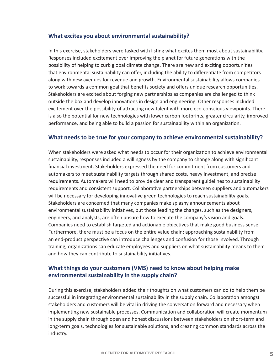#### **What excites you about environmental sustainability?**

In this exercise, stakeholders were tasked with listing what excites them most about sustainability. Responses included excitement over improving the planet for future generations with the possibility of helping to curb global climate change. There are new and exciting opportunities that environmental sustainability can offer, including the ability to differentiate from competitors along with new avenues for revenue and growth. Environmental sustainability allows companies to work towards a common goal that benefits society and offers unique research opportunities. Stakeholders are excited about forging new partnerships as companies are challenged to think outside the box and develop innovations in design and engineering. Other responses included excitement over the possibility of attracting new talent with more eco-conscious viewpoints. There is also the potential for new technologies with lower carbon footprints, greater circularity, improved performance, and being able to build a passion for sustainability within an organization.

#### **What needs to be true for your company to achieve environmental sustainability?**

When stakeholders were asked what needs to occur for their organization to achieve environmental sustainability, responses included a willingness by the company to change along with significant financial investment. Stakeholders expressed the need for commitment from customers and automakers to meet sustainability targets through shared costs, heavy investment, and precise requirements. Automakers will need to provide clear and transparent guidelines to sustainability requirements and consistent support. Collaborative partnerships between suppliers and automakers will be necessary for developing innovative green technologies to reach sustainability goals. Stakeholders are concerned that many companies make splashy announcements about environmental sustainability initiatives, but those leading the changes, such as the designers, engineers, and analysts, are often unsure how to execute the company's vision and goals. Companies need to establish targeted and actionable objectives that make good business sense. Furthermore, there must be a focus on the entire value chain; approaching sustainability from an end-product perspective can introduce challenges and confusion for those involved. Through training, organizations can educate employees and suppliers on what sustainability means to them and how they can contribute to sustainability initiatives.

#### **What things do your customers (VMS) need to know about helping make environmental sustainability in the supply chain?**

During this exercise, stakeholders added their thoughts on what customers can do to help them be successful in integrating environmental sustainability in the supply chain. Collaboration amongst stakeholders and customers will be vital in driving the conversation forward and necessary when implementing new sustainable processes. Communication and collaboration will create momentum in the supply chain through open and honest discussions between stakeholders on short-term and long-term goals, technologies for sustainable solutions, and creating common standards across the industry.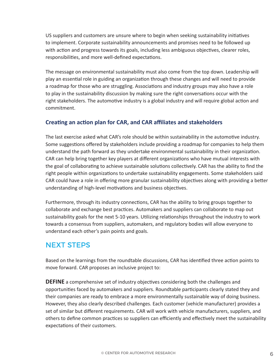US suppliers and customers are unsure where to begin when seeking sustainability initiatives to implement. Corporate sustainability announcements and promises need to be followed up with action and progress towards its goals, including less ambiguous objectives, clearer roles, responsibilities, and more well-defined expectations.

The message on environmental sustainability must also come from the top down. Leadership will play an essential role in guiding an organization through these changes and will need to provide a roadmap for those who are struggling. Associations and industry groups may also have a role to play in the sustainability discussion by making sure the right conversations occur with the right stakeholders. The automotive industry is a global industry and will require global action and commitment.

#### **Creating an action plan for CAR, and CAR affiliates and stakeholders**

The last exercise asked what CAR's role should be within sustainability in the automotive industry. Some suggestions offered by stakeholders include providing a roadmap for companies to help them understand the path forward as they undertake environmental sustainability in their organization. CAR can help bring together key players at different organizations who have mutual interests with the goal of collaborating to achieve sustainable solutions collectively. CAR has the ability to find the right people within organizations to undertake sustainability engagements. Some stakeholders said CAR could have a role in offering more granular sustainability objectives along with providing a better understanding of high-level motivations and business objectives.

Furthermore, through its industry connections, CAR has the ability to bring groups together to collaborate and exchange best practices. Automakers and suppliers can collaborate to map out sustainability goals for the next 5-10 years. Utilizing relationships throughout the industry to work towards a consensus from suppliers, automakers, and regulatory bodies will allow everyone to understand each other's pain points and goals.

### NEXT STEPS

Based on the learnings from the roundtable discussions, CAR has identified three action points to move forward. CAR proposes an inclusive project to:

**DEFINE** a comprehensive set of industry objectives considering both the challenges and opportunities faced by automakers and suppliers. Roundtable participants clearly stated they and their companies are ready to embrace a more environmentally sustainable way of doing business. However, they also clearly described challenges. Each customer (vehicle manufacturer) provides a set of similar but different requirements. CAR will work with vehicle manufacturers, suppliers, and others to define common practices so suppliers can efficiently and effectively meet the sustainability expectations of their customers.